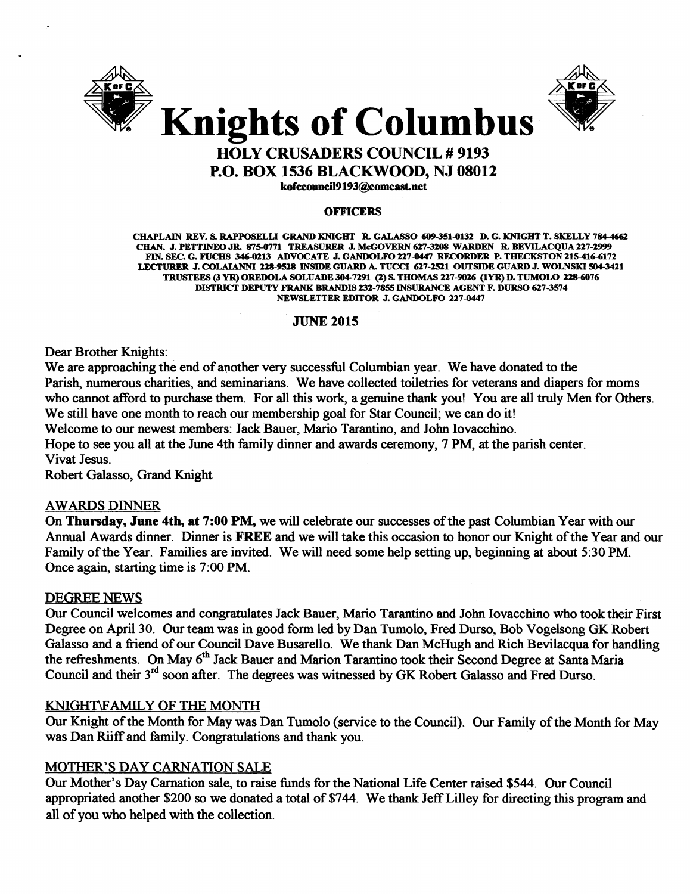



# HOLY CRUSADERS COUNCIL # 9193 P.O. BOX 1536 BLACKWOOD, NJ 08012

kofccouncil9193@comcast.net

#### **OFFICERS**

CHAPLAIN REV. S. RAPPOSELLI GRAND KNIGHT R. GALASSO 609-351-G132 D. G. KNIGHT T. SKELLY 784-4662 CHAN. J. PETTINEO JR. 875-0771 TREASURER J. McGOVERN 627-3208 WARDEN R. BEVILACQUA 227-2999 FIN. SEC. G. FUCHS 346-0213 ADVOCATE J. GANDOLFO 227-0447 RECORDER P. THECKSTON 215-416-6172 LECTURER J. COLAIANNI 228-9528 INSIDE GUARD A. TUCCI 627-2521 OUTSIDE GUARD J. WOLNSKI 504-3421 TRUSTEES (3 YR) OREDOLA SOLUADE 304-7291 (2) S. THOMAS 227-9026 (IYR) D. TUMOLO 228-6076 DISTRICT DEPUTY FRANK BRANDIS 232-7855 INSURANCE AGENT F. DURSO 627-3574 NEWSLETTER EDITOR J. GANDOLFO 227-0447

# JUNE 2015

Dear Brother Knights:

We are approaching the end of another very successful Columbian year. We have donated to the Parish, numerous charities, and seminarians. We have collected toiletries for veterans and diapers for moms who cannot afford to purchase them. For all this work, a genuine thank you! You are all truly Men for Others. We still have one month to reach our membership goal for Star Council; we can do it! Welcome to our newest members: Jack Bauer, Mario Tarantino, and John Iovacchino. Hope to see you all at the June 4th family dinner and awards ceremony, 7 PM, at the parish center.

Vivat Jesus.

Robert Galasso, Grand Knight

#### **AWARDS DINNER**

On Thursday, June 4th, at 7:00 PM, we will celebrate our successes of the past Columbian Year with our Annual Awards dinner. Dinner is FREE and we will take this occasion to honor our Knight of the Year and our Family ofthe Year. Families are invited. We will need some help setting up, beginning at about 5:30 PM. Once again, starting time is 7:00 PM.

#### DEGREE NEWS

Our Council welcomes and congratulates Jack Bauer, Mario Tarantino and John Iovacchino who took their First Degree on April 30. Our team was in good form led by Dan Tumolo, Fred Durso, Bob Vogelsong GK Robert Galasso and a friend of our Council Dave Busarello. We thank Dan McHugh and Rich Bevilacqua for handling the refreshments. On May 6<sup>th</sup> Jack Bauer and Marion Tarantino took their Second Degree at Santa Maria Council and their 3rd soon after. The degrees was witnessed by GK Robert Galasso and Fred Durso.

#### KNIGHT\FAMILY OF THE MONTH

Our Knight of the Month for May was Dan Tumolo (service to the Council). Our Family of the Month for May was Dan Riiff and family. Congratulations and thank you.

# MOTHER'S DAY CARNATION SALE

Our Mother's Day Carnation sale, to raise funds for the National Life Center raised \$544. Our Council appropriated another \$200 so we donated a total of \$744. We thank Jeff Lilley for directing this program and all of you who helped with the collection.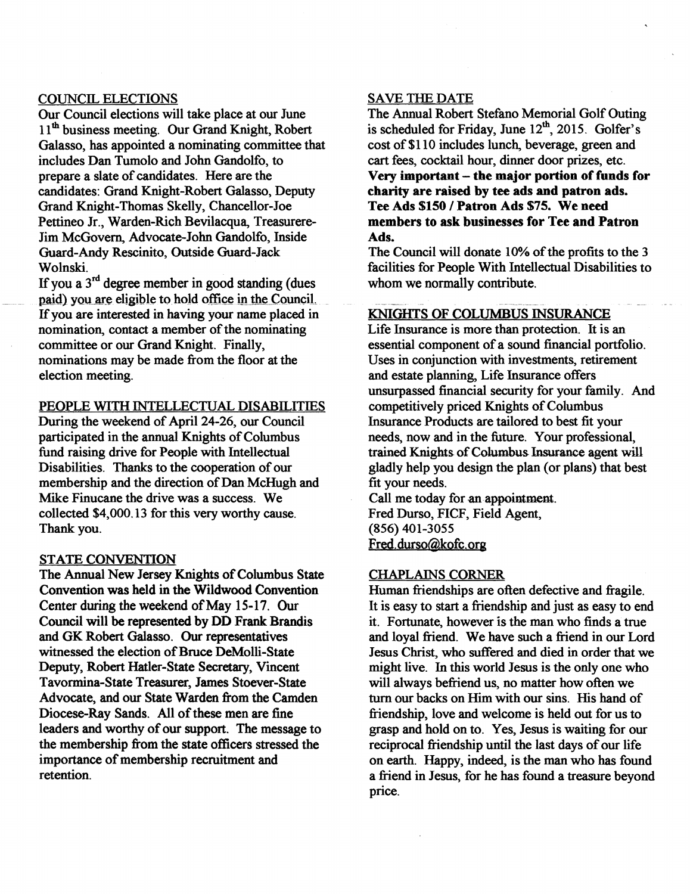# COUNCIL ELECTIONS

Our Council elections will take place at our June 11<sup>th</sup> business meeting. Our Grand Knight, Robert Galasso, has appointed a nominating committee that includes Dan Tumolo and John Gandolfo, to prepare a slate of candidates. Here are the candidates: Grand Knight-Robert Galasso, Deputy Grand Knight-Thomas Skelly, Chancellor-Joe Pettineo Jr., Warden-Rich Bevilacqua, Treasurere-Jim McGovern, Advocate-John Gandolfo, Inside Guard-Andy Rescinito, Outside Guard-Jack Wolnski.

If you a  $3<sup>rd</sup>$  degree member in good standing (dues paid) you are eligible to hold office in the Council. If you are interested in having your name placed in nomination, contact a member of the nominating committee or our Grand Knight. Finally, nominations may be made from the floor at the election meeting.

#### PEOPLE WITH INTELLECTUAL DISABILITIES

During the weekend of April 24-26, our Council participated in the annual Knights of Columbus fund raising drive for People with Intellectual Disabilities. Thanks to the cooperation of our membership and the direction of Dan McHugh and Mike Finucane the drive was a success. We collected \$4,000.13 for this very worthy cause. Thank you.

#### STATE CONVENTION

The Annual New Jersey Knights of Columbus State Convention was held in the Wildwood Convention Center during the weekend of May 15-17. Our Council will be represented by DD Frank Brandis and GK Robert Galasso. Our representatives witnessed the election of Bruce DeMolli-State Deputy, Robert Hatler-State Secretary, Vincent Tavormina-State Treasurer, James Stoever-State Advocate, and our State Warden from the Camden Diocese-Ray Sands. All of these men are fine leaders and worthy of our support. The message to the membership from the state officers stressed the importance of membership recruitment and retention.

# SAVE THE DATE

The Annual Robert Stefano Memorial Golf Outing is scheduled for Friday, June  $12<sup>th</sup>$ , 2015. Golfer's cost of \$110 includes lunch, beverage, green and cart fees, cocktail hour, dinner door prizes, etc. Very important - the major portion of funds for charity are raised by tee ads and patron ads. Tee Ads \$150 / Patron Ads \$75. We need members to ask businesses for Tee and Patron Ads.

The Council will donate 10% of the profits to the 3 facilities for People With Intellectual Disabilities to whom we normally contribute.

# KNIGHTS OF COLUMBUS INSURANCE

Life Insurance is more than protection. It is an essential component of a sound financial portfolio. Uses in conjunction with investments, retirement and estate planning, Life Insurance offers unsurpassed financial security for your family. And competitively priced Knights of Columbus Insurance Products are tailored to best fit your needs, now and in the future. Your professional, trained Knights of Columbus Insurance agent will gladly help you design the plan (or plans) that best fit your needs.

Call me today for an appointment. Fred Durso, FICF, Field Agent, (856) 401-3055 Fred.durso@kofc.ora

#### CHAPLAINS CORNER

Human friendships are often defective and fragile. It is easy to start a friendship and just as easy to end it. Fortunate, however is the man who finds a true and loyal friend. We have such a friend in our Lord Jesus Christ, who suffered and died in order that we might live. In this world Jesus is the only one who will always befriend us, no matter how often we turn our backs on Him with our sins. His hand of friendship, love and welcome is held out for us to grasp and hold on to. Yes, Jesus is waiting for our reciprocal friendship until the last days of our life on earth. Happy, indeed, is the man who has found a friend in Jesus, for he has found a treasure beyond price.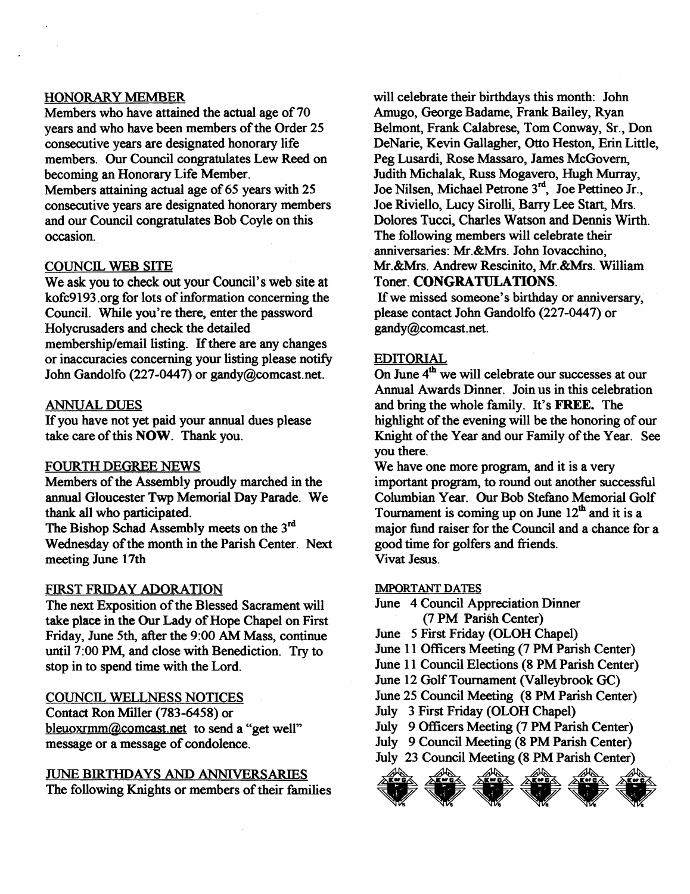# HONORARY MEMBER

Members who have attained the actual age of 70 years and who have been members of the Order 25 consecutive years are designated honorary life members. Our Council congratulates Lew Reed on becoming an Honorary Life Member.

Members attaining actual age of 65 years with 25 consecutive years are designated honorary members and our Council congratulates Bob Coyle on this occasion.

#### COUNCIL WEB SITE

We ask you to check out your Council's web site at kofc9193.org for lots of information concerning the Council. While you're there, enter the password Holycrusaders and check the detailed membership/email listing. If there are any changes or inaccuracies concerning your listing please notify John Gandolfo (227-0447) or gandy@comcast.net.

# ANNUAL DUES

If you have not yet paid your annual dues please take care of this **NOW**. Thank you.

#### FOURTH DEGREE NEWS

Members of the Assembly proudly marched in the annual Gloucester Twp Memorial Day Parade. We thank all who participated. .

The Bishop Schad Assembly meets on the 3<sup>rd</sup> Wednesday of the month in the Parish Center. Next meeting June 17th

#### FIRST FRIDAY ADORATION

The next Exposition of the Blessed Sacrament will take place in the Our Lady of Hope Chapel on First Friday, June 5th, after the 9:00 AM Mass, continue until 7:00 PM, and close with Benediction. Try to stop in to spend time with the Lord.

#### COUNCIL WELLNESS NOTICES

Contact Ron Miller (783-6458) or bleuoxrmm@comcast.net to send a "get well" message or a message of condolence.

# JUNE BIRTHDAYS AND ANNIVERSARIES

The following Knights or members of their families

will celebrate their birthdays this month: John Amugo, George Badame, Frank Bailey, Ryan Belmont, Frank Calabrese, Tom Conway, Sr., Don DeNarie, Kevin Gallagher, Otto Heston, Erin Little, Peg Lusardi, Rose Massaro, lames McGovern, Judith Michalak, Russ Mogavero, Hugh Murray, Joe Nilsen, Michael Petrone 3<sup>rd</sup>, Joe Pettineo Jr., Joe Riviello, Lucy Sirolli, Barry Lee Start, Mrs. Dolores Tucci, Charles Watson and Dennis Wirth. The following members will celebrate their anniversaries: Mr.&Mrs. John Iovacchino, Mr.&Mrs. Andrew Rescinito, Mr.&Mrs. William Toner. CONGRATULATIONS.

If we missed someone's birthday or anniversary, please contact John Gandolfo (227-0447) or gandy@comcast.net.

# EDITORIAL

On June  $4<sup>th</sup>$  we will celebrate our successes at our Annual Awards Dinner. Join us in this celebration and bring the whole family. It's FREE. The highlight of the evening will be the honoring of our Knight of the Year and our Family of the Year. See you there.

We have one more program, and it is a very important program, to round out another successful Columbian Year. Our Bob Stefano Memorial Golf Tournament is coming up on June  $12<sup>th</sup>$  and it is a major fund raiser for the Council and a chance for a good time for golfers and friends. Vivat Jesus.

#### IMPORTANT DATES

June 4 Council Appreciation Dinner

- (7 PM Parish Center)
- June 5 First Friday (OLOH Chapel)
- June 11 Officers Meeting (7 PM Parish Center)

June 11 Council Elections (8 PM Parish Center)

June 12 Golf Tournament (Valleybrook GC)

June 25 Council Meeting (8 PM Parish Center)

July 3 First Friday (OLOH Chapel)

July 9 Officers Meeting (7 PM Parish Center)

July 9 Council Meeting (8 PM Parish Center)

July 23 Council Meeting (8 PM Parish Center)